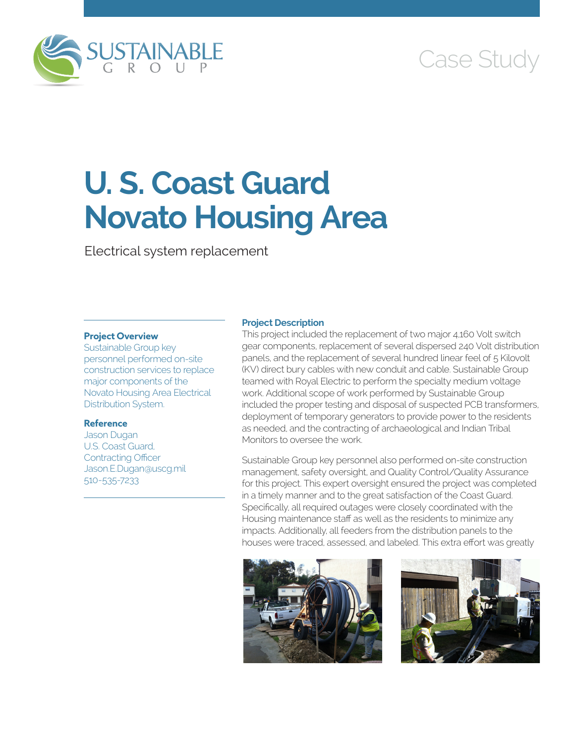

# Case Study

# **U. S. Coast Guard Novato Housing Area**

Electrical system replacement

# **Project Overview**

Sustainable Group key personnel performed on-site construction services to replace major components of the Novato Housing Area Electrical Distribution System.

#### **Reference**

Jason Dugan U.S. Coast Guard, Contracting Officer Jason.E.Dugan@uscg.mil 510-535-7233

## **Project Description**

This project included the replacement of two major 4,160 Volt switch gear components, replacement of several dispersed 240 Volt distribution panels, and the replacement of several hundred linear feel of 5 Kilovolt (KV) direct bury cables with new conduit and cable. Sustainable Group teamed with Royal Electric to perform the specialty medium voltage work. Additional scope of work performed by Sustainable Group included the proper testing and disposal of suspected PCB transformers, deployment of temporary generators to provide power to the residents as needed, and the contracting of archaeological and Indian Tribal Monitors to oversee the work.

Sustainable Group key personnel also performed on-site construction management, safety oversight, and Quality Control/Quality Assurance for this project. This expert oversight ensured the project was completed in a timely manner and to the great satisfaction of the Coast Guard. Specifically, all required outages were closely coordinated with the Housing maintenance staff as well as the residents to minimize any impacts. Additionally, all feeders from the distribution panels to the houses were traced, assessed, and labeled. This extra effort was greatly



![](_page_0_Picture_12.jpeg)